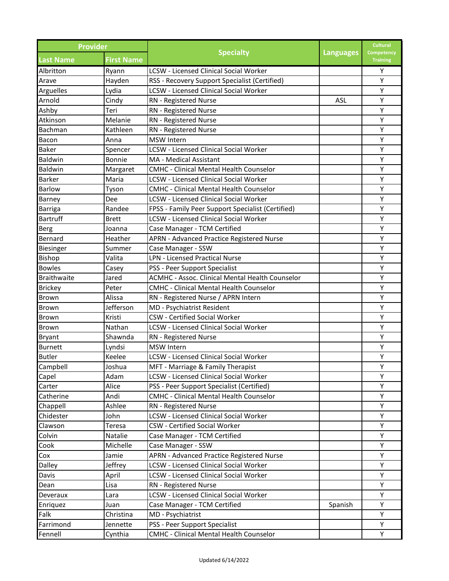| <b>Provider</b>    |                   |                                                                                             |                  | <b>Cultural</b>               |
|--------------------|-------------------|---------------------------------------------------------------------------------------------|------------------|-------------------------------|
| <b>Last Name</b>   | <b>First Name</b> | <b>Specialty</b>                                                                            | <b>Languages</b> | Competency<br><b>Training</b> |
| Albritton          | Ryann             | <b>LCSW - Licensed Clinical Social Worker</b>                                               |                  | Υ                             |
| Arave              | Hayden            | RSS - Recovery Support Specialist (Certified)                                               |                  | Y                             |
| Arguelles          | Lydia             | <b>LCSW - Licensed Clinical Social Worker</b>                                               |                  | Y                             |
| Arnold             | Cindy             | RN - Registered Nurse                                                                       | <b>ASL</b>       | Y                             |
| Ashby              | Teri              | RN - Registered Nurse                                                                       |                  | Y                             |
| Atkinson           | Melanie           | RN - Registered Nurse                                                                       |                  | Y                             |
| Bachman            | Kathleen          | RN - Registered Nurse                                                                       |                  | Y                             |
| Bacon              | Anna              | <b>MSW Intern</b>                                                                           |                  | Y                             |
| <b>Baker</b>       | Spencer           | <b>LCSW - Licensed Clinical Social Worker</b>                                               |                  | Y                             |
| Baldwin            | Bonnie            | MA - Medical Assistant                                                                      |                  | Y                             |
| Baldwin            | Margaret          | <b>CMHC - Clinical Mental Health Counselor</b>                                              |                  | Υ                             |
| <b>Barker</b>      | Maria             | <b>LCSW - Licensed Clinical Social Worker</b>                                               |                  | Υ                             |
| <b>Barlow</b>      | Tyson             | CMHC - Clinical Mental Health Counselor                                                     |                  | Y                             |
| Barney             | Dee               | <b>LCSW - Licensed Clinical Social Worker</b>                                               |                  | Y                             |
| <b>Barriga</b>     | Randee            | FPSS - Family Peer Support Specialist (Certified)                                           |                  | Υ                             |
| <b>Bartruff</b>    | <b>Brett</b>      | <b>LCSW - Licensed Clinical Social Worker</b>                                               |                  | Υ                             |
| Berg               | Joanna            | Case Manager - TCM Certified                                                                |                  | Υ                             |
| Bernard            | Heather           | APRN - Advanced Practice Registered Nurse                                                   |                  | Υ                             |
| Biesinger          | Summer            | Case Manager - SSW                                                                          |                  | Υ                             |
| Bishop             | Valita            | <b>LPN - Licensed Practical Nurse</b>                                                       |                  | Υ                             |
| <b>Bowles</b>      | Casey             | PSS - Peer Support Specialist                                                               |                  | Υ                             |
| <b>Braithwaite</b> | Jared             | <b>ACMHC - Assoc. Clinical Mental Health Counselor</b>                                      |                  | Υ                             |
| <b>Brickey</b>     | Peter             | <b>CMHC - Clinical Mental Health Counselor</b>                                              |                  | Y                             |
| Brown              | Alissa            | RN - Registered Nurse / APRN Intern                                                         |                  | Υ                             |
| Brown              | Jefferson         | MD - Psychiatrist Resident                                                                  |                  | Υ                             |
| Brown              | Kristi            | <b>CSW - Certified Social Worker</b>                                                        |                  | Υ                             |
| <b>Brown</b>       | Nathan            | <b>LCSW - Licensed Clinical Social Worker</b>                                               |                  | Υ                             |
| <b>Bryant</b>      | Shawnda           | RN - Registered Nurse                                                                       |                  | Y                             |
| <b>Burnett</b>     | Lyndsi            | <b>MSW</b> Intern                                                                           |                  | Υ                             |
| <b>Butler</b>      | Keelee            | <b>LCSW - Licensed Clinical Social Worker</b>                                               |                  | Υ                             |
|                    | Joshua            |                                                                                             |                  | Υ                             |
| Campbell           |                   | MFT - Marriage & Family Therapist<br><b>LCSW</b> - Licensed Clinical Social Worker          |                  | Y                             |
| Capel              | Adam              |                                                                                             |                  |                               |
| Carter             | Alice             | PSS - Peer Support Specialist (Certified)<br><b>CMHC - Clinical Mental Health Counselor</b> |                  | Υ<br>Y                        |
| Catherine          | Andi              |                                                                                             |                  |                               |
| Chappell           | Ashlee            | RN - Registered Nurse                                                                       |                  | Υ<br>Y                        |
| Chidester          | John              | LCSW - Licensed Clinical Social Worker                                                      |                  |                               |
| Clawson            | Teresa            | <b>CSW</b> - Certified Social Worker                                                        |                  | Υ                             |
| Colvin             | Natalie           | Case Manager - TCM Certified                                                                |                  | Υ                             |
| Cook               | Michelle          | Case Manager - SSW                                                                          |                  | Y                             |
| Cox                | Jamie             | APRN - Advanced Practice Registered Nurse                                                   |                  | Υ                             |
| Dalley             | Jeffrey           | LCSW - Licensed Clinical Social Worker                                                      |                  | Υ                             |
| Davis              | April             | <b>LCSW - Licensed Clinical Social Worker</b>                                               |                  | Y                             |
| Dean               | Lisa              | RN - Registered Nurse                                                                       |                  | Υ                             |
| Deveraux           | Lara              | LCSW - Licensed Clinical Social Worker                                                      |                  | Υ                             |
| Enriquez           | Juan              | Case Manager - TCM Certified                                                                | Spanish          | Υ                             |
| Falk               | Christina         | MD - Psychiatrist                                                                           |                  | Υ                             |
| Farrimond          | Jennette          | PSS - Peer Support Specialist                                                               |                  | Υ                             |
| Fennell            | Cynthia           | CMHC - Clinical Mental Health Counselor                                                     |                  | Υ                             |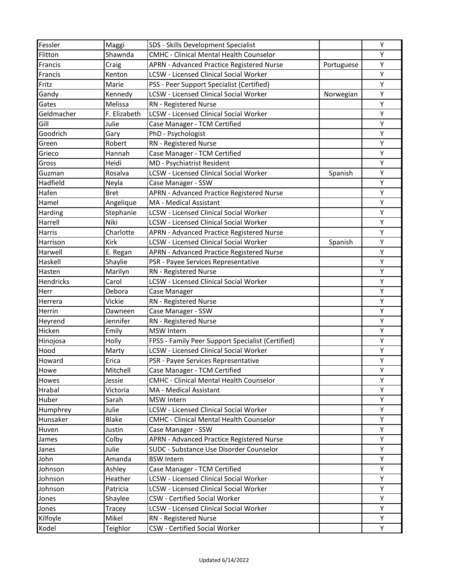| Fessler    | Maggi        | SDS - Skills Development Specialist               |            | Y |
|------------|--------------|---------------------------------------------------|------------|---|
| Flitton    | Shawnda      | <b>CMHC - Clinical Mental Health Counselor</b>    |            | Υ |
| Francis    | Craig        | APRN - Advanced Practice Registered Nurse         | Portuguese | Υ |
| Francis    | Kenton       | <b>LCSW - Licensed Clinical Social Worker</b>     |            | Υ |
| Fritz      | Marie        | PSS - Peer Support Specialist (Certified)         |            | Υ |
| Gandy      | Kennedy      | <b>LCSW - Licensed Clinical Social Worker</b>     | Norwegian  | Υ |
| Gates      | Melissa      | RN - Registered Nurse                             |            | Υ |
| Geldmacher | F. Elizabeth | <b>LCSW</b> - Licensed Clinical Social Worker     |            | Υ |
| Gill       | Julie        | Case Manager - TCM Certified                      |            | Y |
| Goodrich   | Gary         | PhD - Psychologist                                |            | Υ |
| Green      | Robert       | RN - Registered Nurse                             |            | Υ |
| Grieco     | Hannah       | Case Manager - TCM Certified                      |            | Υ |
| Gross      | Heidi        | MD - Psychiatrist Resident                        |            | Y |
| Guzman     | Rosalva      | <b>LCSW - Licensed Clinical Social Worker</b>     | Spanish    | Υ |
| Hadfield   | Neyla        | Case Manager - SSW                                |            | Υ |
| Hafen      | <b>Bret</b>  | APRN - Advanced Practice Registered Nurse         |            | Υ |
| Hamel      | Angelique    | MA - Medical Assistant                            |            | Υ |
| Harding    | Stephanie    | <b>LCSW - Licensed Clinical Social Worker</b>     |            | Υ |
| Harrell    | Niki         | <b>LCSW - Licensed Clinical Social Worker</b>     |            | Υ |
| Harris     | Charlotte    | APRN - Advanced Practice Registered Nurse         |            | Υ |
| Harrison   | Kirk         | <b>LCSW - Licensed Clinical Social Worker</b>     | Spanish    | Υ |
| Harwell    | E. Regan     | APRN - Advanced Practice Registered Nurse         |            | Υ |
| Haskell    | Shaylie      | PSR - Payee Services Representative               |            | Υ |
| Hasten     | Marilyn      | RN - Registered Nurse                             |            | Υ |
| Hendricks  | Carol        | <b>LCSW - Licensed Clinical Social Worker</b>     |            | Υ |
| Herr       | Debora       | Case Manager                                      |            | Y |
| Herrera    | Vickie       | RN - Registered Nurse                             |            | Υ |
| Herrin     | Dawneen      | Case Manager - SSW                                |            | Υ |
| Heyrend    | Jennifer     | RN - Registered Nurse                             |            | Υ |
| Hicken     | Emily        | <b>MSW Intern</b>                                 |            | Υ |
| Hinojosa   | Holly        | FPSS - Family Peer Support Specialist (Certified) |            | Υ |
| Hood       | Marty        | <b>LCSW</b> - Licensed Clinical Social Worker     |            | Υ |
| Howard     | Erica        | PSR - Payee Services Representative               |            | Υ |
| Howe       | Mitchell     | Case Manager - TCM Certified                      |            | Y |
| Howes      | Jessie       | CMHC - Clinical Mental Health Counselor           |            | Y |
| Hrabal     | Victoria     | MA - Medical Assistant                            |            | Υ |
| Huber      | Sarah        | <b>MSW</b> Intern                                 |            | Y |
| Humphrey   | Julie        | <b>LCSW - Licensed Clinical Social Worker</b>     |            | Υ |
| Hunsaker   | <b>Blake</b> | CMHC - Clinical Mental Health Counselor           |            | Y |
| Huven      | Justin       | Case Manager - SSW                                |            | Y |
| James      | Colby        | APRN - Advanced Practice Registered Nurse         |            | Y |
| Janes      | Julie        | SUDC - Substance Use Disorder Counselor           |            | Y |
| John       | Amanda       | <b>BSW Intern</b>                                 |            | Υ |
| Johnson    | Ashley       | Case Manager - TCM Certified                      |            | Υ |
| Johnson    | Heather      | <b>LCSW</b> - Licensed Clinical Social Worker     |            | Υ |
| Johnson    | Patricia     | <b>LCSW - Licensed Clinical Social Worker</b>     |            | Υ |
| Jones      | Shaylee      | CSW - Certified Social Worker                     |            | Υ |
| Jones      | Tracey       | <b>LCSW</b> - Licensed Clinical Social Worker     |            | Y |
| Kilfoyle   | Mikel        | RN - Registered Nurse                             |            | Υ |
| Kodel      | Teighlor     | CSW - Certified Social Worker                     |            | Υ |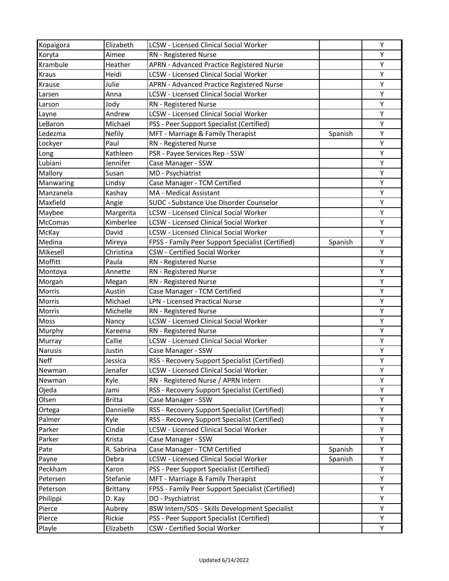| Kopaigora      | Elizabeth       | <b>LCSW - Licensed Clinical Social Worker</b>     |         | Y |
|----------------|-----------------|---------------------------------------------------|---------|---|
| Koryta         | Aimee           | RN - Registered Nurse                             |         | Υ |
| Krambule       | Heather         | APRN - Advanced Practice Registered Nurse         |         | Υ |
| <b>Kraus</b>   | Heidi           | <b>LCSW - Licensed Clinical Social Worker</b>     |         | Υ |
| Krause         | Julie           | APRN - Advanced Practice Registered Nurse         |         | Υ |
| Larsen         | Anna            | <b>LCSW - Licensed Clinical Social Worker</b>     |         | Υ |
| Larson         | Jody            | RN - Registered Nurse                             |         | Υ |
| Layne          | Andrew          | LCSW - Licensed Clinical Social Worker            |         | Υ |
| LeBaron        | Michael         | PSS - Peer Support Specialist (Certified)         |         | Y |
| Ledezma        | <b>Nefily</b>   | MFT - Marriage & Family Therapist                 | Spanish | Υ |
| Lockyer        | Paul            | RN - Registered Nurse                             |         | Υ |
| Long           | Kathleen        | PSR - Payee Services Rep - SSW                    |         | Υ |
| Lubiani        | Jennifer        | Case Manager - SSW                                |         | Υ |
| Mallory        | Susan           | MD - Psychiatrist                                 |         | Υ |
| Manwaring      | Lindsy          | Case Manager - TCM Certified                      |         | Υ |
| Manzanela      | Kashay          | MA - Medical Assistant                            |         | Υ |
| Maxfield       | Angie           | SUDC - Substance Use Disorder Counselor           |         | Υ |
| Maybee         | Margerita       | <b>LCSW</b> - Licensed Clinical Social Worker     |         | Υ |
| <b>McComas</b> | Kimberlee       | <b>LCSW - Licensed Clinical Social Worker</b>     |         | Υ |
| McKay          | David           | <b>LCSW - Licensed Clinical Social Worker</b>     |         | Υ |
| Medina         | Mireya          | FPSS - Family Peer Support Specialist (Certified) | Spanish | Υ |
| Mikesell       | Christina       | <b>CSW</b> - Certified Social Worker              |         | Υ |
| Moffitt        | Paula           | RN - Registered Nurse                             |         | Υ |
| Montoya        | Annette         | RN - Registered Nurse                             |         | Υ |
| Morgan         | Megan           | RN - Registered Nurse                             |         | Υ |
| Morris         | Austin          | Case Manager - TCM Certified                      |         | Υ |
| Morris         | Michael         | <b>LPN - Licensed Practical Nurse</b>             |         | Υ |
| Morris         | Michelle        | RN - Registered Nurse                             |         | Υ |
| Moss           | Nancy           | <b>LCSW - Licensed Clinical Social Worker</b>     |         | Υ |
| Murphy         | Kareena         | RN - Registered Nurse                             |         | Y |
| Murray         | Callie          | <b>LCSW - Licensed Clinical Social Worker</b>     |         | Υ |
| Narusis        | Justin          | Case Manager - SSW                                |         | Υ |
| <b>Neff</b>    | Jessica         | RSS - Recovery Support Specialist (Certified)     |         | Υ |
| Newman         | Jenafer         | <b>LCSW - Licensed Clinical Social Worker</b>     |         | Y |
| Newman         | Kyle            | RN - Registered Nurse / APRN Intern               |         | Υ |
| Ojeda          | Jami            | RSS - Recovery Support Specialist (Certified)     |         | Υ |
| Olsen          | <b>Britta</b>   | Case Manager - SSW                                |         | Υ |
| Ortega         | Dannielle       | RSS - Recovery Support Specialist (Certified)     |         | Υ |
| Palmer         | Kyle            | RSS - Recovery Support Specialist (Certified)     |         | Υ |
| Parker         | Cindie          | LCSW - Licensed Clinical Social Worker            |         | Y |
| Parker         | Krista          | Case Manager - SSW                                |         | Y |
| Pate           | R. Sabrina      | Case Manager - TCM Certified                      | Spanish | Υ |
| Payne          | Debra           | LCSW - Licensed Clinical Social Worker            | Spanish | Υ |
| Peckham        | Karon           | PSS - Peer Support Specialist (Certified)         |         | Υ |
| Petersen       | Stefanie        | MFT - Marriage & Family Therapist                 |         | Υ |
| Peterson       | <b>Brittany</b> | FPSS - Family Peer Support Specialist (Certified) |         | Υ |
| Philippi       | D. Kay          | DO - Psychiatrist                                 |         | Υ |
| Pierce         | Aubrey          | BSW Intern/SDS - Skills Development Specialist    |         | Υ |
| Pierce         | Rickie          | PSS - Peer Support Specialist (Certified)         |         | Υ |
| Playle         | Elizabeth       | CSW - Certified Social Worker                     |         | Υ |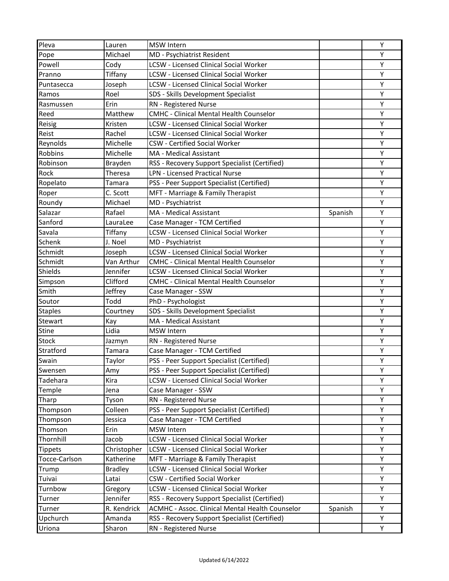| Pleva          | Lauren         | <b>MSW Intern</b>                               |         | Y |
|----------------|----------------|-------------------------------------------------|---------|---|
| Pope           | Michael        | MD - Psychiatrist Resident                      |         | Υ |
| Powell         | Cody           | <b>LCSW - Licensed Clinical Social Worker</b>   |         | Υ |
| Pranno         | Tiffany        | <b>LCSW</b> - Licensed Clinical Social Worker   |         | Υ |
| Puntasecca     | Joseph         | <b>LCSW - Licensed Clinical Social Worker</b>   |         | Υ |
| Ramos          | Roel           | SDS - Skills Development Specialist             |         | Υ |
| Rasmussen      | Erin           | RN - Registered Nurse                           |         | Υ |
| Reed           | Matthew        | <b>CMHC - Clinical Mental Health Counselor</b>  |         | Υ |
| Reisig         | Kristen        | <b>LCSW - Licensed Clinical Social Worker</b>   |         | Υ |
| Reist          | Rachel         | <b>LCSW - Licensed Clinical Social Worker</b>   |         | Υ |
| Reynolds       | Michelle       | <b>CSW</b> - Certified Social Worker            |         | Υ |
| Robbins        | Michelle       | MA - Medical Assistant                          |         | Υ |
| Robinson       | Brayden        | RSS - Recovery Support Specialist (Certified)   |         | Y |
| Rock           | Theresa        | <b>LPN - Licensed Practical Nurse</b>           |         | Υ |
| Ropelato       | Tamara         | PSS - Peer Support Specialist (Certified)       |         | Υ |
| Roper          | C. Scott       | MFT - Marriage & Family Therapist               |         | Υ |
| Roundy         | Michael        | MD - Psychiatrist                               |         | Υ |
| Salazar        | Rafael         | MA - Medical Assistant                          | Spanish | Υ |
| Sanford        | LauraLee       | Case Manager - TCM Certified                    |         | Υ |
| Savala         | Tiffany        | <b>LCSW - Licensed Clinical Social Worker</b>   |         | Υ |
| Schenk         | J. Noel        | MD - Psychiatrist                               |         | Υ |
| Schmidt        | Joseph         | <b>LCSW</b> - Licensed Clinical Social Worker   |         | Υ |
| Schmidt        | Van Arthur     | <b>CMHC - Clinical Mental Health Counselor</b>  |         | Υ |
| Shields        | Jennifer       | <b>LCSW - Licensed Clinical Social Worker</b>   |         | Υ |
| Simpson        | Clifford       | <b>CMHC - Clinical Mental Health Counselor</b>  |         | Υ |
| Smith          | Jeffrey        | Case Manager - SSW                              |         | Υ |
| Soutor         | Todd           | PhD - Psychologist                              |         | Υ |
| <b>Staples</b> | Courtney       | SDS - Skills Development Specialist             |         | Υ |
| Stewart        | Kay            | MA - Medical Assistant                          |         | Υ |
| <b>Stine</b>   | Lidia          | <b>MSW</b> Intern                               |         | Y |
| <b>Stock</b>   | Jazmyn         | RN - Registered Nurse                           |         | Υ |
| Stratford      | Tamara         | Case Manager - TCM Certified                    |         | Υ |
| Swain          | Taylor         | PSS - Peer Support Specialist (Certified)       |         | Υ |
| Swensen        | Amy            | PSS - Peer Support Specialist (Certified)       |         | Y |
| Tadehara       | Kira           | <b>LCSW - Licensed Clinical Social Worker</b>   |         | Υ |
| Temple         | Jena           | Case Manager - SSW                              |         | Υ |
| Tharp          | Tyson          | RN - Registered Nurse                           |         | Y |
| Thompson       | Colleen        | PSS - Peer Support Specialist (Certified)       |         | Υ |
| Thompson       | Jessica        | Case Manager - TCM Certified                    |         | Υ |
| Thomson        | Erin           | <b>MSW</b> Intern                               |         | Y |
| Thornhill      | Jacob          | <b>LCSW</b> - Licensed Clinical Social Worker   |         | Y |
| <b>Tippets</b> | Christopher    | <b>LCSW - Licensed Clinical Social Worker</b>   |         | Υ |
| Tocce-Carlson  | Katherine      | MFT - Marriage & Family Therapist               |         | Υ |
| Trump          | <b>Bradley</b> | <b>LCSW - Licensed Clinical Social Worker</b>   |         | Υ |
| Tuivai         | Latai          | <b>CSW</b> - Certified Social Worker            |         | Υ |
| Turnbow        | Gregory        | <b>LCSW - Licensed Clinical Social Worker</b>   |         | Υ |
| Turner         | Jennifer       | RSS - Recovery Support Specialist (Certified)   |         | Y |
| Turner         | R. Kendrick    | ACMHC - Assoc. Clinical Mental Health Counselor | Spanish | Υ |
| Upchurch       | Amanda         | RSS - Recovery Support Specialist (Certified)   |         | Υ |
| Uriona         | Sharon         | RN - Registered Nurse                           |         | Υ |